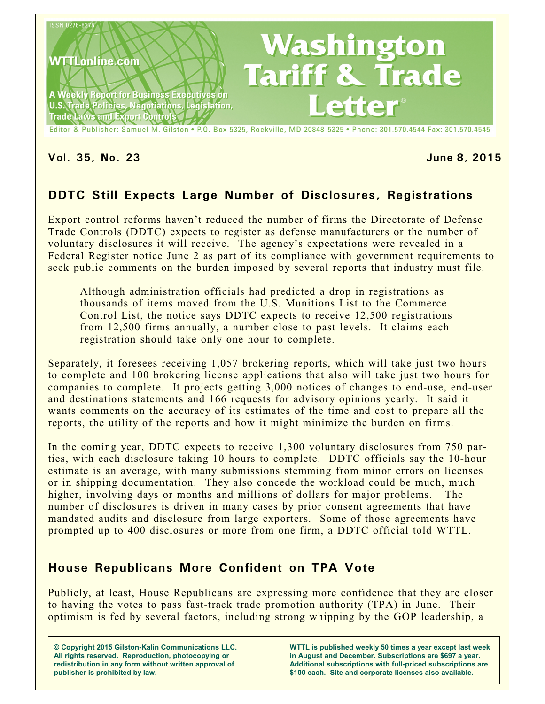

#### **Vol. 35, No. 23 June 8, 2015**

# **DDTC Still Expects Large Number of Disclosures, Registrations**

Export control reforms haven't reduced the number of firms the Directorate of Defense Trade Controls (DDTC) expects to register as defense manufacturers or the number of voluntary disclosures it will receive. The agency's expectations were revealed in a Federal Register notice June 2 as part of its compliance with government requirements to seek public comments on the burden imposed by several reports that industry must file.

Although administration officials had predicted a drop in registrations as thousands of items moved from the U.S. Munitions List to the Commerce Control List, the notice says DDTC expects to receive 12,500 registrations from 12,500 firms annually, a number close to past levels. It claims each registration should take only one hour to complete.

Separately, it foresees receiving 1,057 brokering reports, which will take just two hours to complete and 100 brokering license applications that also will take just two hours for companies to complete. It projects getting 3,000 notices of changes to end-use, end-user and destinations statements and 166 requests for advisory opinions yearly. It said it wants comments on the accuracy of its estimates of the time and cost to prepare all the reports, the utility of the reports and how it might minimize the burden on firms.

In the coming year, DDTC expects to receive 1,300 voluntary disclosures from 750 parties, with each disclosure taking 10 hours to complete. DDTC officials say the 10-hour estimate is an average, with many submissions stemming from minor errors on licenses or in shipping documentation. They also concede the workload could be much, much higher, involving days or months and millions of dollars for major problems. The number of disclosures is driven in many cases by prior consent agreements that have mandated audits and disclosure from large exporters. Some of those agreements have prompted up to 400 disclosures or more from one firm, a DDTC official told WTTL.

# **House Republicans More Confident on TPA Vote**

Publicly, at least, House Republicans are expressing more confidence that they are closer to having the votes to pass fast-track trade promotion authority (TPA) in June. Their optimism is fed by several factors, including strong whipping by the GOP leadership, a

**© Copyright 2015 Gilston-Kalin Communications LLC. All rights reserved. Reproduction, photocopying or redistribution in any form without written approval of publisher is prohibited by law.** 

**WTTL is published weekly 50 times a year except last week in August and December. Subscriptions are \$697 a year. Additional subscriptions with full-priced subscriptions are \$100 each. Site and corporate licenses also available.**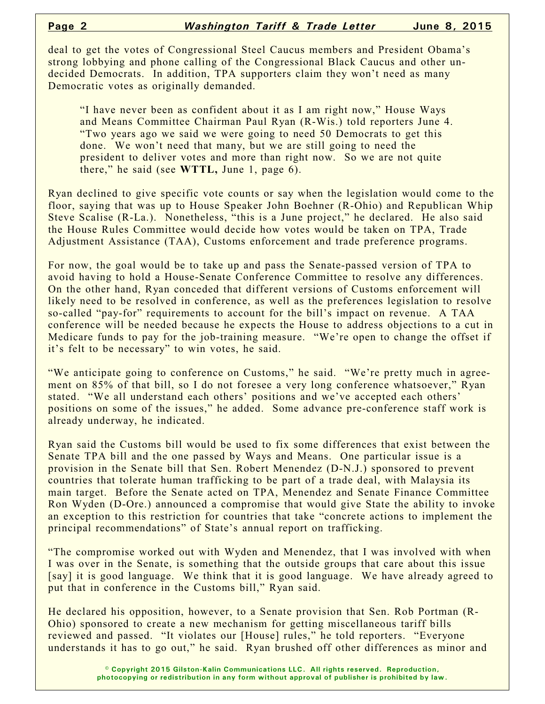deal to get the votes of Congressional Steel Caucus members and President Obama's strong lobbying and phone calling of the Congressional Black Caucus and other undecided Democrats. In addition, TPA supporters claim they won't need as many Democratic votes as originally demanded.

"I have never been as confident about it as I am right now," House Ways and Means Committee Chairman Paul Ryan (R-Wis.) told reporters June 4. "Two years ago we said we were going to need 50 Democrats to get this done. We won't need that many, but we are still going to need the president to deliver votes and more than right now. So we are not quite there," he said (see **WTTL,** June 1, page 6).

Ryan declined to give specific vote counts or say when the legislation would come to the floor, saying that was up to House Speaker John Boehner (R-Ohio) and Republican Whip Steve Scalise (R-La.). Nonetheless, "this is a June project," he declared. He also said the House Rules Committee would decide how votes would be taken on TPA, Trade Adjustment Assistance (TAA), Customs enforcement and trade preference programs.

For now, the goal would be to take up and pass the Senate-passed version of TPA to avoid having to hold a House-Senate Conference Committee to resolve any differences. On the other hand, Ryan conceded that different versions of Customs enforcement will likely need to be resolved in conference, as well as the preferences legislation to resolve so-called "pay-for" requirements to account for the bill's impact on revenue. A TAA conference will be needed because he expects the House to address objections to a cut in Medicare funds to pay for the job-training measure. "We're open to change the offset if it's felt to be necessary" to win votes, he said.

"We anticipate going to conference on Customs," he said. "We're pretty much in agreement on 85% of that bill, so I do not foresee a very long conference whatsoever," Ryan stated. "We all understand each others' positions and we've accepted each others' positions on some of the issues," he added. Some advance pre-conference staff work is already underway, he indicated.

Ryan said the Customs bill would be used to fix some differences that exist between the Senate TPA bill and the one passed by Ways and Means. One particular issue is a provision in the Senate bill that Sen. Robert Menendez (D-N.J.) sponsored to prevent countries that tolerate human trafficking to be part of a trade deal, with Malaysia its main target. Before the Senate acted on TPA, Menendez and Senate Finance Committee Ron Wyden (D-Ore.) announced a compromise that would give State the ability to invoke an exception to this restriction for countries that take "concrete actions to implement the principal recommendations" of State's annual report on trafficking.

"The compromise worked out with Wyden and Menendez, that I was involved with when I was over in the Senate, is something that the outside groups that care about this issue [say] it is good language. We think that it is good language. We have already agreed to put that in conference in the Customs bill," Ryan said.

He declared his opposition, however, to a Senate provision that Sen. Rob Portman (R-Ohio) sponsored to create a new mechanism for getting miscellaneous tariff bills reviewed and passed. "It violates our [House] rules," he told reporters. "Everyone understands it has to go out," he said. Ryan brushed off other differences as minor and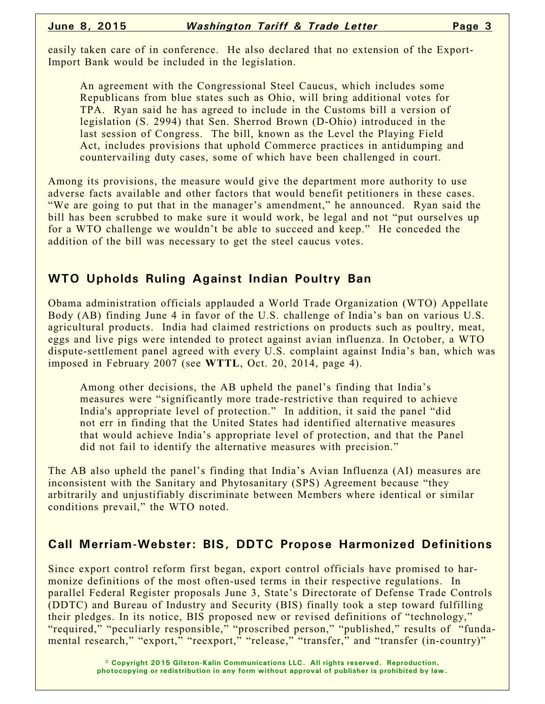easily taken care of in conference. He also declared that no extension of the Export-Import Bank would be included in the legislation.

An agreement with the Congressional Steel Caucus, which includes some Republicans from blue states such as Ohio, will bring additional votes for TPA. Ryan said he has agreed to include in the Customs bill a version of legislation (S. 2994) that Sen. Sherrod Brown (D-Ohio) introduced in the last session of Congress. The bill, known as the Level the Playing Field Act, includes provisions that uphold Commerce practices in antidumping and countervailing duty cases, some of which have been challenged in court.

Among its provisions, the measure would give the department more authority to use adverse facts available and other factors that would benefit petitioners in these cases. "We are going to put that in the manager's amendment," he announced. Ryan said the bill has been scrubbed to make sure it would work, be legal and not "put ourselves up for a WTO challenge we wouldn't be able to succeed and keep." He conceded the addition of the bill was necessary to get the steel caucus votes.

## **WTO Upholds Ruling Against Indian Poultry Ban**

Obama administration officials applauded a World Trade Organization (WTO) Appellate Body (AB) finding June 4 in favor of the U.S. challenge of India's ban on various U.S. agricultural products. India had claimed restrictions on products such as poultry, meat, eggs and live pigs were intended to protect against avian influenza. In October, a WTO dispute-settlement panel agreed with every U.S. complaint against India's ban, which was imposed in February 2007 (see **WTTL**, Oct. 20, 2014, page 4).

Among other decisions, the AB upheld the panel's finding that India's measures were "significantly more trade-restrictive than required to achieve India's appropriate level of protection." In addition, it said the panel "did not err in finding that the United States had identified alternative measures that would achieve India's appropriate level of protection, and that the Panel did not fail to identify the alternative measures with precision."

The AB also upheld the panel's finding that India's Avian Influenza (AI) measures are inconsistent with the Sanitary and Phytosanitary (SPS) Agreement because "they arbitrarily and unjustifiably discriminate between Members where identical or similar conditions prevail," the WTO noted.

## **Call Merriam-Webster: BIS, DDTC Propose Harmonized Definitions**

Since export control reform first began, export control officials have promised to harmonize definitions of the most often-used terms in their respective regulations. In parallel Federal Register proposals June 3, State's Directorate of Defense Trade Controls (DDTC) and Bureau of Industry and Security (BIS) finally took a step toward fulfilling their pledges. In its notice, BIS proposed new or revised definitions of "technology," "required," "peculiarly responsible," "proscribed person," "published," results of "fundamental research," "export," "reexport," "release," "transfer," and "transfer (in-country)"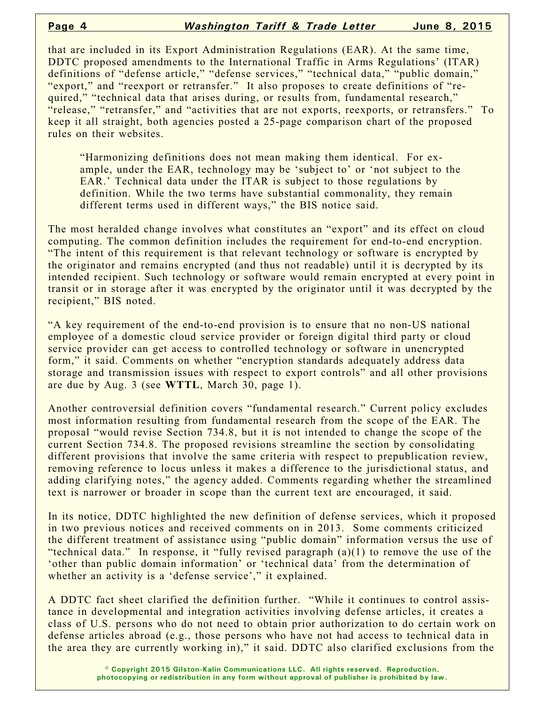that are included in its Export Administration Regulations (EAR). At the same time, DDTC proposed amendments to the International Traffic in Arms Regulations' (ITAR) definitions of "defense article," "defense services," "technical data," "public domain," "export," and "reexport or retransfer." It also proposes to create definitions of "required," "technical data that arises during, or results from, fundamental research," "release," "retransfer," and "activities that are not exports, reexports, or retransfers." To keep it all straight, both agencies posted a 25-page comparison chart of the proposed rules on their websites.

"Harmonizing definitions does not mean making them identical. For example, under the EAR, technology may be 'subject to' or 'not subject to the EAR.' Technical data under the ITAR is subject to those regulations by definition. While the two terms have substantial commonality, they remain different terms used in different ways," the BIS notice said.

The most heralded change involves what constitutes an "export" and its effect on cloud computing. The common definition includes the requirement for end-to-end encryption. "The intent of this requirement is that relevant technology or software is encrypted by the originator and remains encrypted (and thus not readable) until it is decrypted by its intended recipient. Such technology or software would remain encrypted at every point in transit or in storage after it was encrypted by the originator until it was decrypted by the recipient," BIS noted.

"A key requirement of the end-to-end provision is to ensure that no non-US national employee of a domestic cloud service provider or foreign digital third party or cloud service provider can get access to controlled technology or software in unencrypted form," it said. Comments on whether "encryption standards adequately address data storage and transmission issues with respect to export controls" and all other provisions are due by Aug. 3 (see **WTTL**, March 30, page 1).

Another controversial definition covers "fundamental research." Current policy excludes most information resulting from fundamental research from the scope of the EAR. The proposal "would revise Section 734.8, but it is not intended to change the scope of the current Section 734.8. The proposed revisions streamline the section by consolidating different provisions that involve the same criteria with respect to prepublication review, removing reference to locus unless it makes a difference to the jurisdictional status, and adding clarifying notes," the agency added. Comments regarding whether the streamlined text is narrower or broader in scope than the current text are encouraged, it said.

In its notice, DDTC highlighted the new definition of defense services, which it proposed in two previous notices and received comments on in 2013. Some comments criticized the different treatment of assistance using "public domain" information versus the use of "technical data." In response, it "fully revised paragraph (a)(1) to remove the use of the 'other than public domain information' or 'technical data' from the determination of whether an activity is a 'defense service'," it explained.

A DDTC fact sheet clarified the definition further. "While it continues to control assistance in developmental and integration activities involving defense articles, it creates a class of U.S. persons who do not need to obtain prior authorization to do certain work on defense articles abroad (e.g., those persons who have not had access to technical data in the area they are currently working in)," it said. DDTC also clarified exclusions from the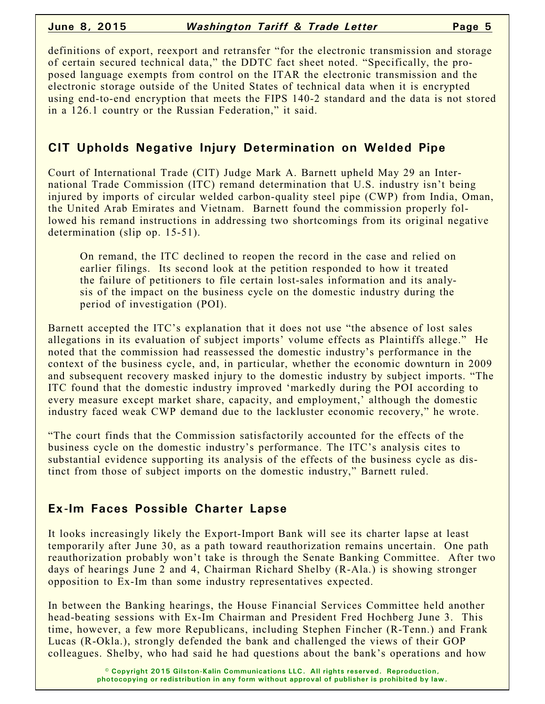definitions of export, reexport and retransfer "for the electronic transmission and storage of certain secured technical data," the DDTC fact sheet noted. "Specifically, the proposed language exempts from control on the ITAR the electronic transmission and the electronic storage outside of the United States of technical data when it is encrypted using end-to-end encryption that meets the FIPS 140-2 standard and the data is not stored in a 126.1 country or the Russian Federation," it said.

# **CIT Upholds Negative Injury Determination on Welded Pipe**

Court of International Trade (CIT) Judge Mark A. Barnett upheld May 29 an International Trade Commission (ITC) remand determination that U.S. industry isn't being injured by imports of circular welded carbon-quality steel pipe (CWP) from India, Oman, the United Arab Emirates and Vietnam. Barnett found the commission properly followed his remand instructions in addressing two shortcomings from its original negative determination (slip op. 15-51).

On remand, the ITC declined to reopen the record in the case and relied on earlier filings. Its second look at the petition responded to how it treated the failure of petitioners to file certain lost-sales information and its analysis of the impact on the business cycle on the domestic industry during the period of investigation (POI).

Barnett accepted the ITC's explanation that it does not use "the absence of lost sales allegations in its evaluation of subject imports' volume effects as Plaintiffs allege." He noted that the commission had reassessed the domestic industry's performance in the context of the business cycle, and, in particular, whether the economic downturn in 2009 and subsequent recovery masked injury to the domestic industry by subject imports. "The ITC found that the domestic industry improved 'markedly during the POI according to every measure except market share, capacity, and employment,' although the domestic industry faced weak CWP demand due to the lackluster economic recovery," he wrote.

"The court finds that the Commission satisfactorily accounted for the effects of the business cycle on the domestic industry's performance. The ITC's analysis cites to substantial evidence supporting its analysis of the effects of the business cycle as distinct from those of subject imports on the domestic industry," Barnett ruled.

# **Ex-Im Faces Possible Charter Lapse**

It looks increasingly likely the Export-Import Bank will see its charter lapse at least temporarily after June 30, as a path toward reauthorization remains uncertain. One path reauthorization probably won't take is through the Senate Banking Committee. After two days of hearings June 2 and 4, Chairman Richard Shelby (R-Ala.) is showing stronger opposition to Ex-Im than some industry representatives expected.

In between the Banking hearings, the House Financial Services Committee held another head-beating sessions with Ex-Im Chairman and President Fred Hochberg June 3. This time, however, a few more Republicans, including Stephen Fincher (R-Tenn.) and Frank Lucas (R-Okla.), strongly defended the bank and challenged the views of their GOP colleagues. Shelby, who had said he had questions about the bank's operations and how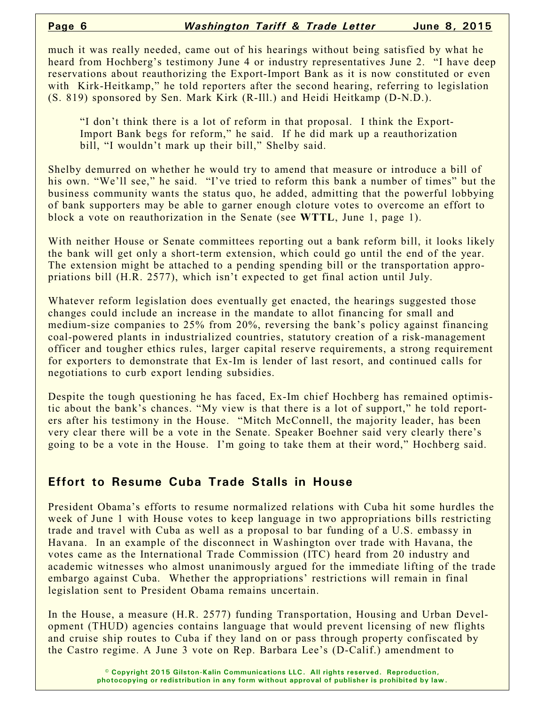much it was really needed, came out of his hearings without being satisfied by what he heard from Hochberg's testimony June 4 or industry representatives June 2. "I have deep reservations about reauthorizing the Export-Import Bank as it is now constituted or even with Kirk-Heitkamp," he told reporters after the second hearing, referring to legislation (S. 819) sponsored by Sen. Mark Kirk (R-Ill.) and Heidi Heitkamp (D-N.D.).

"I don't think there is a lot of reform in that proposal. I think the Export-Import Bank begs for reform," he said. If he did mark up a reauthorization bill, "I wouldn't mark up their bill," Shelby said.

Shelby demurred on whether he would try to amend that measure or introduce a bill of his own. "We'll see," he said. "I've tried to reform this bank a number of times" but the business community wants the status quo, he added, admitting that the powerful lobbying of bank supporters may be able to garner enough cloture votes to overcome an effort to block a vote on reauthorization in the Senate (see **WTTL**, June 1, page 1).

With neither House or Senate committees reporting out a bank reform bill, it looks likely the bank will get only a short-term extension, which could go until the end of the year. The extension might be attached to a pending spending bill or the transportation appropriations bill (H.R. 2577), which isn't expected to get final action until July.

Whatever reform legislation does eventually get enacted, the hearings suggested those changes could include an increase in the mandate to allot financing for small and medium-size companies to 25% from 20%, reversing the bank's policy against financing coal-powered plants in industrialized countries, statutory creation of a risk-management officer and tougher ethics rules, larger capital reserve requirements, a strong requirement for exporters to demonstrate that Ex-Im is lender of last resort, and continued calls for negotiations to curb export lending subsidies.

Despite the tough questioning he has faced, Ex-Im chief Hochberg has remained optimistic about the bank's chances. "My view is that there is a lot of support," he told reporters after his testimony in the House. "Mitch McConnell, the majority leader, has been very clear there will be a vote in the Senate. Speaker Boehner said very clearly there's going to be a vote in the House. I'm going to take them at their word," Hochberg said.

## **Effort to Resume Cuba Trade Stalls in House**

President Obama's efforts to resume normalized relations with Cuba hit some hurdles the week of June 1 with House votes to keep language in two appropriations bills restricting trade and travel with Cuba as well as a proposal to bar funding of a U.S. embassy in Havana. In an example of the disconnect in Washington over trade with Havana, the votes came as the International Trade Commission (ITC) heard from 20 industry and academic witnesses who almost unanimously argued for the immediate lifting of the trade embargo against Cuba. Whether the appropriations' restrictions will remain in final legislation sent to President Obama remains uncertain.

In the House, a measure (H.R. 2577) funding Transportation, Housing and Urban Development (THUD) agencies contains language that would prevent licensing of new flights and cruise ship routes to Cuba if they land on or pass through property confiscated by the Castro regime. A June 3 vote on Rep. Barbara Lee's (D-Calif.) amendment to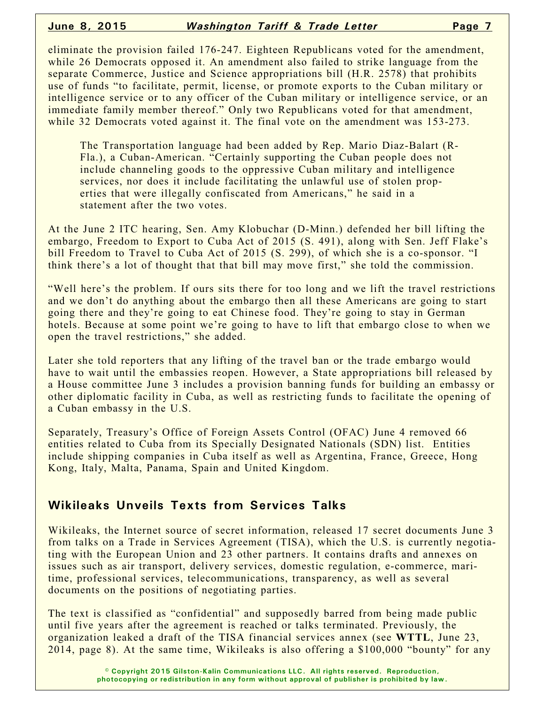eliminate the provision failed 176-247. Eighteen Republicans voted for the amendment, while 26 Democrats opposed it. An amendment also failed to strike language from the separate Commerce, Justice and Science appropriations bill (H.R. 2578) that prohibits use of funds "to facilitate, permit, license, or promote exports to the Cuban military or intelligence service or to any officer of the Cuban military or intelligence service, or an immediate family member thereof." Only two Republicans voted for that amendment, while 32 Democrats voted against it. The final vote on the amendment was 153-273.

The Transportation language had been added by Rep. Mario Diaz-Balart (R-Fla.), a Cuban-American. "Certainly supporting the Cuban people does not include channeling goods to the oppressive Cuban military and intelligence services, nor does it include facilitating the unlawful use of stolen properties that were illegally confiscated from Americans," he said in a statement after the two votes.

At the June 2 ITC hearing, Sen. Amy Klobuchar (D-Minn.) defended her bill lifting the embargo, Freedom to Export to Cuba Act of 2015 (S. 491), along with Sen. Jeff Flake's bill Freedom to Travel to Cuba Act of 2015 (S. 299), of which she is a co-sponsor. "I think there's a lot of thought that that bill may move first," she told the commission.

"Well here's the problem. If ours sits there for too long and we lift the travel restrictions and we don't do anything about the embargo then all these Americans are going to start going there and they're going to eat Chinese food. They're going to stay in German hotels. Because at some point we're going to have to lift that embargo close to when we open the travel restrictions," she added.

Later she told reporters that any lifting of the travel ban or the trade embargo would have to wait until the embassies reopen. However, a State appropriations bill released by a House committee June 3 includes a provision banning funds for building an embassy or other diplomatic facility in Cuba, as well as restricting funds to facilitate the opening of a Cuban embassy in the U.S.

Separately, Treasury's Office of Foreign Assets Control (OFAC) June 4 removed 66 entities related to Cuba from its Specially Designated Nationals (SDN) list. Entities include shipping companies in Cuba itself as well as Argentina, France, Greece, Hong Kong, Italy, Malta, Panama, Spain and United Kingdom.

## **Wikileaks Unveils Texts from Services Talks**

Wikileaks, the Internet source of secret information, released 17 secret documents June 3 from talks on a Trade in Services Agreement (TISA), which the U.S. is currently negotiating with the European Union and 23 other partners. It contains drafts and annexes on issues such as air transport, delivery services, domestic regulation, e-commerce, maritime, professional services, telecommunications, transparency, as well as several documents on the positions of negotiating parties.

The text is classified as "confidential" and supposedly barred from being made public until five years after the agreement is reached or talks terminated. Previously, the organization leaked a draft of the TISA financial services annex (see **WTTL**, June 23, 2014, page 8). At the same time, Wikileaks is also offering a \$100,000 "bounty" for any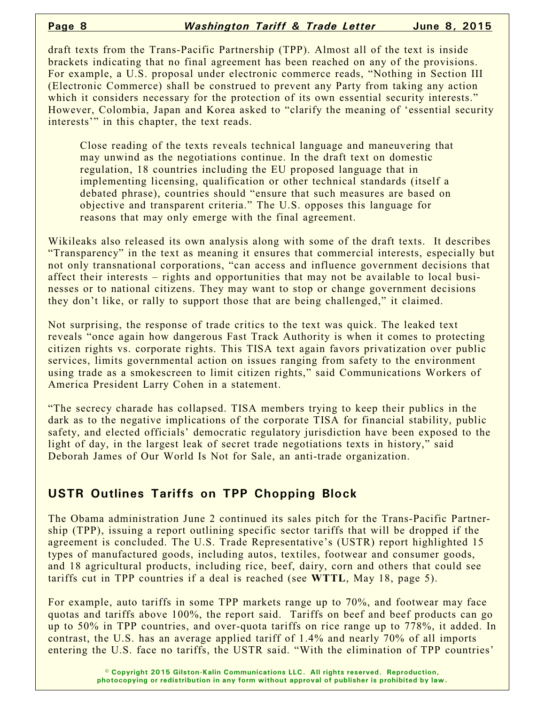draft texts from the Trans-Pacific Partnership (TPP). Almost all of the text is inside brackets indicating that no final agreement has been reached on any of the provisions. For example, a U.S. proposal under electronic commerce reads, "Nothing in Section III (Electronic Commerce) shall be construed to prevent any Party from taking any action which it considers necessary for the protection of its own essential security interests." However, Colombia, Japan and Korea asked to "clarify the meaning of 'essential security interests'" in this chapter, the text reads.

Close reading of the texts reveals technical language and maneuvering that may unwind as the negotiations continue. In the draft text on domestic regulation, 18 countries including the EU proposed language that in implementing licensing, qualification or other technical standards (itself a debated phrase), countries should "ensure that such measures are based on objective and transparent criteria." The U.S. opposes this language for reasons that may only emerge with the final agreement.

Wikileaks also released its own analysis along with some of the draft texts. It describes "Transparency" in the text as meaning it ensures that commercial interests, especially but not only transnational corporations, "can access and influence government decisions that affect their interests – rights and opportunities that may not be available to local businesses or to national citizens. They may want to stop or change government decisions they don't like, or rally to support those that are being challenged," it claimed.

Not surprising, the response of trade critics to the text was quick. The leaked text reveals "once again how dangerous Fast Track Authority is when it comes to protecting citizen rights vs. corporate rights. This TISA text again favors privatization over public services, limits governmental action on issues ranging from safety to the environment using trade as a smokescreen to limit citizen rights," said Communications Workers of America President Larry Cohen in a statement.

"The secrecy charade has collapsed. TISA members trying to keep their publics in the dark as to the negative implications of the corporate TISA for financial stability, public safety, and elected officials' democratic regulatory jurisdiction have been exposed to the light of day, in the largest leak of secret trade negotiations texts in history," said Deborah James of Our World Is Not for Sale, an anti-trade organization.

## **USTR Outlines Tariffs on TPP Chopping Block**

The Obama administration June 2 continued its sales pitch for the Trans-Pacific Partnership (TPP), issuing a report outlining specific sector tariffs that will be dropped if the agreement is concluded. The U.S. Trade Representative's (USTR) report highlighted 15 types of manufactured goods, including autos, textiles, footwear and consumer goods, and 18 agricultural products, including rice, beef, dairy, corn and others that could see tariffs cut in TPP countries if a deal is reached (see **WTTL**, May 18, page 5).

For example, auto tariffs in some TPP markets range up to 70%, and footwear may face quotas and tariffs above 100%, the report said. Tariffs on beef and beef products can go up to 50% in TPP countries, and over-quota tariffs on rice range up to 778%, it added. In contrast, the U.S. has an average applied tariff of 1.4% and nearly 70% of all imports entering the U.S. face no tariffs, the USTR said. "With the elimination of TPP countries'